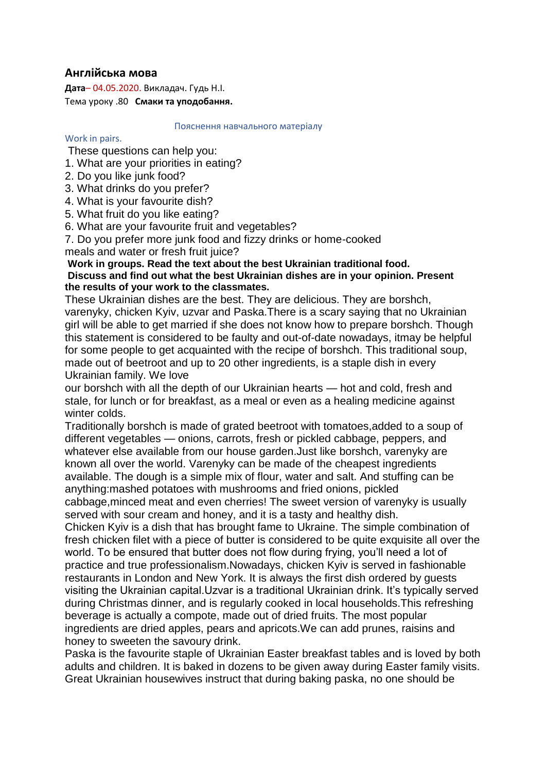# **Англійська мова**

**Дата**– 04.05.2020. Викладач. Гудь Н.І. Тема уроку .80 **Смаки та уподобання.**

#### Пояснення навчального матеріалу

#### Work in pairs.

These questions can help you:

- 1. What are your priorities in eating?
- 2. Do you like junk food?
- 3. What drinks do you prefer?
- 4. What is your favourite dish?

5. What fruit do you like eating?

6. What are your favourite fruit and vegetables?

7. Do you prefer more junk food and fizzy drinks or home-cooked

meals and water or fresh fruit juice?

### **Work in groups. Read the text about the best Ukrainian traditional food. Discuss and find out what the best Ukrainian dishes are in your opinion. Present the results of your work to the classmates.**

These Ukrainian dishes are the best. They are delicious. They are borshch, varenyky, chicken Kyiv, uzvar and Paska.There is a scary saying that no Ukrainian girl will be able to get married if she does not know how to prepare borshch. Though this statement is considered to be faulty and out-of-date nowadays, itmay be helpful for some people to get acquainted with the recipe of borshch. This traditional soup, made out of beetroot and up to 20 other ingredients, is a staple dish in every Ukrainian family. We love

our borshch with all the depth of our Ukrainian hearts — hot and cold, fresh and stale, for lunch or for breakfast, as a meal or even as a healing medicine against winter colds.

Traditionally borshch is made of grated beetroot with tomatoes,added to a soup of different vegetables — onions, carrots, fresh or pickled cabbage, peppers, and whatever else available from our house garden.Just like borshch, varenyky are known all over the world. Varenyky can be made of the cheapest ingredients available. The dough is a simple mix of flour, water and salt. And stuffing can be anything:mashed potatoes with mushrooms and fried onions, pickled

cabbage,minced meat and even cherries! The sweet version of varenyky is usually served with sour cream and honey, and it is a tasty and healthy dish.

Chicken Kyiv is a dish that has brought fame to Ukraine. The simple combination of fresh chicken filet with a piece of butter is considered to be quite exquisite all over the world. To be ensured that butter does not flow during frying, you'll need a lot of practice and true professionalism.Nowadays, chicken Kyiv is served in fashionable restaurants in London and New York. It is always the first dish ordered by guests visiting the Ukrainian capital.Uzvar is a traditional Ukrainian drink. It's typically served during Christmas dinner, and is regularly cooked in local households.This refreshing beverage is actually a compote, made out of dried fruits. The most popular ingredients are dried apples, pears and apricots.We can add prunes, raisins and honey to sweeten the savoury drink.

Paska is the favourite staple of Ukrainian Easter breakfast tables and is loved by both adults and children. It is baked in dozens to be given away during Easter family visits. Great Ukrainian housewives instruct that during baking paska, no one should be